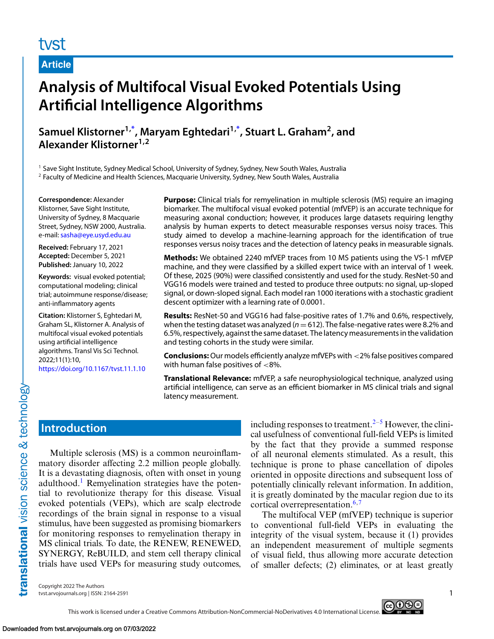# tvst

### **Article**

# **Analysis of Multifocal Visual Evoked Potentials Using Artificial Intelligence Algorithms**

**Samuel Klistorner1[,\\*](#page-5-0) , Maryam Eghtedari1[,\\*](#page-5-0) , Stuart L. Graham2, and Alexander Klistorner1,2**

<sup>1</sup> Save Sight Institute, Sydney Medical School, University of Sydney, Sydney, New South Wales, Australia

<sup>2</sup> Faculty of Medicine and Health Sciences, Macquarie University, Sydney, New South Wales, Australia

**Correspondence:** Alexander Klistorner, Save Sight Institute, University of Sydney, 8 Macquarie Street, Sydney, NSW 2000, Australia. e-mail: [sasha@eye.usyd.edu.au](mailto:sasha@eye.usyd.edu.au)

**Received:** February 17, 2021 **Accepted:** December 5, 2021 **Published:** January 10, 2022

**Keywords:** visual evoked potential; computational modeling; clinical trial; autoimmune response/disease; anti-inflammatory agents

**Citation:** Klistorner S, Eghtedari M, Graham SL, Klistorner A. Analysis of multifocal visual evoked potentials using artificial intelligence algorithms. Transl Vis Sci Technol. 2022;11(1):10, <https://doi.org/10.1167/tvst.11.1.10>

**Purpose:** Clinical trials for remyelination in multiple sclerosis (MS) require an imaging biomarker. The multifocal visual evoked potential (mfVEP) is an accurate technique for measuring axonal conduction; however, it produces large datasets requiring lengthy analysis by human experts to detect measurable responses versus noisy traces. This study aimed to develop a machine-learning approach for the identification of true responses versus noisy traces and the detection of latency peaks in measurable signals.

**Methods:** We obtained 2240 mfVEP traces from 10 MS patients using the VS-1 mfVEP machine, and they were classified by a skilled expert twice with an interval of 1 week. Of these, 2025 (90%) were classified consistently and used for the study. ResNet-50 and VGG16 models were trained and tested to produce three outputs: no signal, up-sloped signal, or down-sloped signal. Each model ran 1000 iterations with a stochastic gradient descent optimizer with a learning rate of 0.0001.

**Results:** ResNet-50 and VGG16 had false-positive rates of 1.7% and 0.6%, respectively, when the testing dataset was analyzed  $(n = 612)$ . The false-negative rates were 8.2% and 6.5%, respectively, against the same dataset. The latency measurements in the validation and testing cohorts in the study were similar.

**Conclusions:**Our models efficiently analyze mfVEPs with <2% false positives compared with human false positives of <8%.

**Translational Relevance:** mfVEP, a safe neurophysiological technique, analyzed using artificial intelligence, can serve as an efficient biomarker in MS clinical trials and signal latency measurement.

### **Introduction**

Multiple sclerosis (MS) is a common neuroinflammatory disorder affecting 2.2 million people globally. It is a devastating diagnosis, often with onset in young adulthood.<sup>1</sup> Remyelination strategies have the potential to revolutionize therapy for this disease. Visual evoked potentials (VEPs), which are scalp electrode recordings of the brain signal in response to a visual stimulus, have been suggested as promising biomarkers for monitoring responses to remyelination therapy in MS clinical trials. To date, the RENEW, RENEWED, SYNERGY, ReBUILD, and stem cell therapy clinical trials have used VEPs for measuring study outcomes, including responses to treatment.<sup>[2–5](#page-5-0)</sup> However, the clinical usefulness of conventional full-field VEPs is limited by the fact that they provide a summed response of all neuronal elements stimulated. As a result, this technique is prone to phase cancellation of dipoles oriented in opposite directions and subsequent loss of potentially clinically relevant information. In addition, it is greatly dominated by the macular region due to its cortical overrepresentation. $6,7$ 

The multifocal VEP (mfVEP) technique is superior to conventional full-field VEPs in evaluating the integrity of the visual system, because it (1) provides an independent measurement of multiple segments of visual field, thus allowing more accurate detection of smaller defects; (2) eliminates, or at least greatly

Copyright 2022 The Authors tvst.arvojournals.org | ISSN: 2164-2591 1

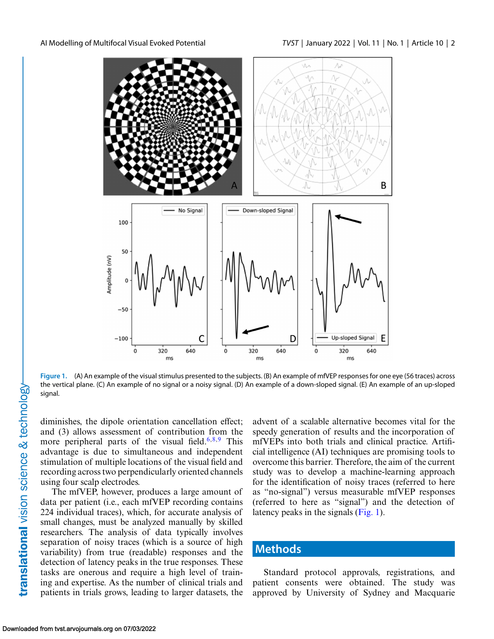<span id="page-1-0"></span>

**Figure 1.** (A) An example of the visual stimulus presented to the subjects. (B) An example of mfVEP responses for one eye (56 traces) across the vertical plane. (C) An example of no signal or a noisy signal. (D) An example of a down-sloped signal. (E) An example of an up-sloped signal.

diminishes, the dipole orientation cancellation effect; and (3) allows assessment of contribution from the more peripheral parts of the visual field.<sup>[6,8,9](#page-5-0)</sup> This advantage is due to simultaneous and independent stimulation of multiple locations of the visual field and recording across two perpendicularly oriented channels using four scalp electrodes.

The mfVEP, however, produces a large amount of data per patient (i.e., each mfVEP recording contains 224 individual traces), which, for accurate analysis of small changes, must be analyzed manually by skilled researchers. The analysis of data typically involves separation of noisy traces (which is a source of high variability) from true (readable) responses and the detection of latency peaks in the true responses. These tasks are onerous and require a high level of training and expertise. As the number of clinical trials and patients in trials grows, leading to larger datasets, the advent of a scalable alternative becomes vital for the speedy generation of results and the incorporation of mfVEPs into both trials and clinical practice. Artificial intelligence (AI) techniques are promising tools to overcome this barrier. Therefore, the aim of the current study was to develop a machine-learning approach for the identification of noisy traces (referred to here as "no-signal") versus measurable mfVEP responses (referred to here as "signal") and the detection of latency peaks in the signals (Fig. 1).

### **Methods**

Standard protocol approvals, registrations, and patient consents were obtained. The study was approved by University of Sydney and Macquarie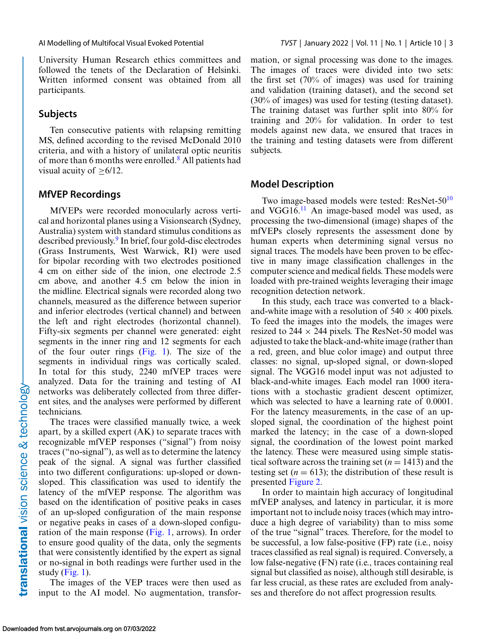University Human Research ethics committees and followed the tenets of the Declaration of Helsinki. Written informed consent was obtained from all participants.

#### **Subjects**

Ten consecutive patients with relapsing remitting MS, defined according to the revised McDonald 2010 criteria, and with a history of unilateral optic neuritis of more than 6 months were enrolled[.8](#page-5-0) All patients had visual acuity of  $\geq 6/12$ .

#### **MfVEP Recordings**

MfVEPs were recorded monocularly across vertical and horizontal planes using a Visionsearch (Sydney, Australia) system with standard stimulus conditions as described previously.<sup>9</sup> In brief, four gold-disc electrodes (Grass Instruments, West Warwick, RI) were used for bipolar recording with two electrodes positioned 4 cm on either side of the inion, one electrode 2.5 cm above, and another 4.5 cm below the inion in the midline. Electrical signals were recorded along two channels, measured as the difference between superior and inferior electrodes (vertical channel) and between the left and right electrodes (horizontal channel). Fifty-six segments per channel were generated: eight segments in the inner ring and 12 segments for each of the four outer rings [\(Fig. 1\)](#page-1-0). The size of the segments in individual rings was cortically scaled. In total for this study, 2240 mfVEP traces were analyzed. Data for the training and testing of AI networks was deliberately collected from three different sites, and the analyses were performed by different technicians.

The traces were classified manually twice, a week apart, by a skilled expert (AK) to separate traces with recognizable mfVEP responses ("signal") from noisy traces ("no-signal"), as well as to determine the latency peak of the signal. A signal was further classified into two different configurations: up-sloped or downsloped. This classification was used to identify the latency of the mfVEP response. The algorithm was based on the identification of positive peaks in cases of an up-sloped configuration of the main response or negative peaks in cases of a down-sloped configuration of the main response [\(Fig. 1,](#page-1-0) arrows). In order to ensure good quality of the data, only the segments that were consistently identified by the expert as signal or no-signal in both readings were further used in the study  $(Fig. 1)$ .

The images of the VEP traces were then used as input to the AI model. No augmentation, transformation, or signal processing was done to the images. The images of traces were divided into two sets: the first set (70% of images) was used for training and validation (training dataset), and the second set (30% of images) was used for testing (testing dataset). The training dataset was further split into 80% for training and 20% for validation. In order to test models against new data, we ensured that traces in the training and testing datasets were from different subjects.

#### **Model Description**

Two image-based models were tested: ResNet-50<sup>10</sup> and VGG16.[11](#page-5-0) An image-based model was used, as processing the two-dimensional (image) shapes of the mfVEPs closely represents the assessment done by human experts when determining signal versus no signal traces. The models have been proven to be effective in many image classification challenges in the computer science and medical fields. These models were loaded with pre-trained weights leveraging their image recognition detection network.

In this study, each trace was converted to a blackand-white image with a resolution of  $540 \times 400$  pixels. To feed the images into the models, the images were resized to 244  $\times$  244 pixels. The ResNet-50 model was adjusted to take the black-and-white image (rather than a red, green, and blue color image) and output three classes: no signal, up-sloped signal, or down-sloped signal. The VGG16 model input was not adjusted to black-and-white images. Each model ran 1000 iterations with a stochastic gradient descent optimizer, which was selected to have a learning rate of 0.0001. For the latency measurements, in the case of an upsloped signal, the coordination of the highest point marked the latency; in the case of a down-sloped signal, the coordination of the lowest point marked the latency. These were measured using simple statistical software across the training set  $(n = 1413)$  and the testing set  $(n = 613)$ ; the distribution of these result is presented [Figure 2.](#page-3-0)

In order to maintain high accuracy of longitudinal mfVEP analyses, and latency in particular, it is more important not to include noisy traces (which may introduce a high degree of variability) than to miss some of the true "signal" traces. Therefore, for the model to be successful, a low false-positive (FP) rate (i.e., noisy traces classified as real signal) is required. Conversely, a low false-negative (FN) rate (i.e., traces containing real signal but classified as noise), although still desirable, is far less crucial, as these rates are excluded from analyses and therefore do not affect progression results.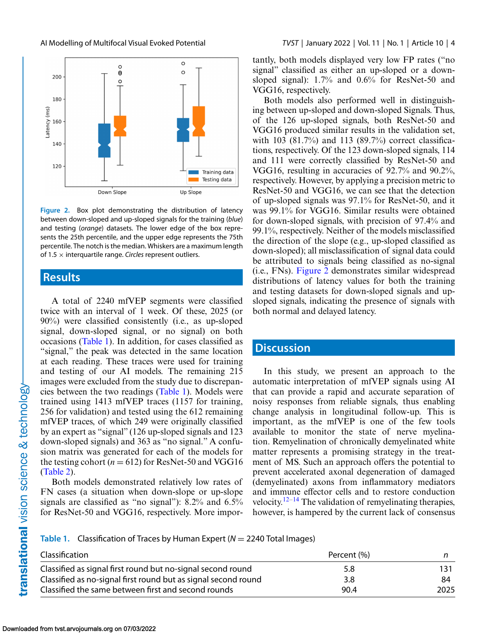<span id="page-3-0"></span>



**Figure 2.** Box plot demonstrating the distribution of latency between down-sloped and up-sloped signals for the training (*blue*) and testing (*orange*) datasets. The lower edge of the box represents the 25th percentile, and the upper edge represents the 75th percentile. The notch is the median. Whiskers are a maximum length of 1.5 <sup>×</sup> interquartile range. *Circles* represent outliers.

#### **Results**

A total of 2240 mfVEP segments were classified twice with an interval of 1 week. Of these, 2025 (or 90%) were classified consistently (i.e., as up-sloped signal, down-sloped signal, or no signal) on both occasions (Table 1). In addition, for cases classified as "signal," the peak was detected in the same location at each reading. These traces were used for training and testing of our AI models. The remaining 215 images were excluded from the study due to discrepancies between the two readings (Table 1). Models were trained using 1413 mfVEP traces (1157 for training, 256 for validation) and tested using the 612 remaining mfVEP traces, of which 249 were originally classified by an expert as "signal" (126 up-sloped signals and 123 down-sloped signals) and 363 as "no signal." A confusion matrix was generated for each of the models for the testing cohort ( $n = 612$ ) for ResNet-50 and VGG16 [\(Table 2\)](#page-4-0).

Both models demonstrated relatively low rates of FN cases (a situation when down-slope or up-slope signals are classified as "no signal"): 8.2% and 6.5% for ResNet-50 and VGG16, respectively. More importantly, both models displayed very low FP rates ("no signal" classified as either an up-sloped or a downsloped signal): 1.7% and 0.6% for ResNet-50 and VGG16, respectively.

Both models also performed well in distinguishing between up-sloped and down-sloped Signals. Thus, of the 126 up-sloped signals, both ResNet-50 and VGG16 produced similar results in the validation set, with 103 (81.7%) and 113 (89.7%) correct classifications, respectively. Of the 123 down-sloped signals, 114 and 111 were correctly classified by ResNet-50 and VGG16, resulting in accuracies of 92.7% and 90.2%, respectively. However, by applying a precision metric to ResNet-50 and VGG16, we can see that the detection of up-sloped signals was 97.1% for ResNet-50, and it was 99.1% for VGG16. Similar results were obtained for down-sloped signals, with precision of 97.4% and 99.1%, respectively. Neither of the models misclassified the direction of the slope (e.g., up-sloped classified as down-sloped); all misclassification of signal data could be attributed to signals being classified as no-signal (i.e., FNs). Figure 2 demonstrates similar widespread distributions of latency values for both the training and testing datasets for down-sloped signals and upsloped signals, indicating the presence of signals with both normal and delayed latency.

### **Discussion**

In this study, we present an approach to the automatic interpretation of mfVEP signals using AI that can provide a rapid and accurate separation of noisy responses from reliable signals, thus enabling change analysis in longitudinal follow-up. This is important, as the mfVEP is one of the few tools available to monitor the state of nerve myelination. Remyelination of chronically demyelinated white matter represents a promising strategy in the treatment of MS. Such an approach offers the potential to prevent accelerated axonal degeneration of damaged (demyelinated) axons from inflammatory mediators and immune effector cells and to restore conduction velocity.<sup>[12–](#page-5-0)[14](#page-6-0)</sup> The validation of remyelinating therapies, however, is hampered by the current lack of consensus

**Table 1.** Classification of Traces by Human Expert (*N* <sup>=</sup> 2240 Total Images)

| Classification                                                 | Percent (%) |      |
|----------------------------------------------------------------|-------------|------|
| Classified as signal first round but no-signal second round    | 5.8         |      |
| Classified as no-signal first round but as signal second round | 3.8         | 84   |
| Classified the same between first and second rounds            | 90.4        | 2025 |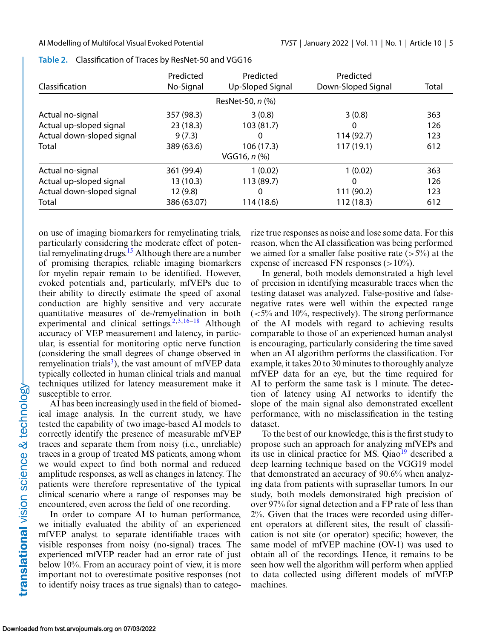|                           | Predicted   | Predicted        | Predicted          |       |
|---------------------------|-------------|------------------|--------------------|-------|
| <b>Classification</b>     | No-Signal   | Up-Sloped Signal | Down-Sloped Signal | Total |
|                           |             | ResNet-50, n (%) |                    |       |
| Actual no-signal          | 357 (98.3)  | 3(0.8)           | 3(0.8)             | 363   |
| Actual up-sloped signal   | 23(18.3)    | 103 (81.7)       | O                  | 126   |
| Actual down-sloped signal | 9(7.3)      | 0                | 114(92.7)          | 123   |
| Total                     | 389 (63.6)  | 106 (17.3)       | 117(19.1)          | 612   |
|                           |             | $VGG16, n$ (%)   |                    |       |
| Actual no-signal          | 361 (99.4)  | 1(0.02)          | 1(0.02)            | 363   |
| Actual up-sloped signal   | 13(10.3)    | 113 (89.7)       | 0                  | 126   |
| Actual down-sloped signal | 12(9.8)     | 0                | 111 (90.2)         | 123   |
| Total                     | 386 (63.07) | 114 (18.6)       | 112 (18.3)         | 612   |

<span id="page-4-0"></span>

on use of imaging biomarkers for remyelinating trials, particularly considering the moderate effect of potential remyelinating drugs.<sup>15</sup> Although there are a number of promising therapies, reliable imaging biomarkers for myelin repair remain to be identified. However, evoked potentials and, particularly, mfVEPs due to their ability to directly estimate the speed of axonal conduction are highly sensitive and very accurate quantitative measures of de-/remyelination in both experimental and clinical settings.<sup>[2,3,](#page-5-0)[16–18](#page-6-0)</sup> Although accuracy of VEP measurement and latency, in particular, is essential for monitoring optic nerve function (considering the small degrees of change observed in remyelination trials<sup>3</sup>), the vast amount of mfVEP data typically collected in human clinical trials and manual techniques utilized for latency measurement make it susceptible to error.

AI has been increasingly used in the field of biomedical image analysis. In the current study, we have tested the capability of two image-based AI models to correctly identify the presence of measurable mfVEP traces and separate them from noisy (i.e., unreliable) traces in a group of treated MS patients, among whom we would expect to find both normal and reduced amplitude responses, as well as changes in latency. The patients were therefore representative of the typical clinical scenario where a range of responses may be encountered, even across the field of one recording.

In order to compare AI to human performance, we initially evaluated the ability of an experienced mfVEP analyst to separate identifiable traces with visible responses from noisy (no-signal) traces. The experienced mfVEP reader had an error rate of just below 10%. From an accuracy point of view, it is more important not to overestimate positive responses (not to identify noisy traces as true signals) than to categorize true responses as noise and lose some data. For this reason, when the AI classification was being performed we aimed for a smaller false positive rate  $(>5\%)$  at the expense of increased FN responses  $(>10\%)$ .

In general, both models demonstrated a high level of precision in identifying measurable traces when the testing dataset was analyzed. False-positive and falsenegative rates were well within the expected range  $\left($  <5% and 10%, respectively). The strong performance of the AI models with regard to achieving results comparable to those of an experienced human analyst is encouraging, particularly considering the time saved when an AI algorithm performs the classification. For example, it takes 20 to 30 minutes to thoroughly analyze mfVEP data for an eye, but the time required for AI to perform the same task is 1 minute. The detection of latency using AI networks to identify the slope of the main signal also demonstrated excellent performance, with no misclassification in the testing dataset.

To the best of our knowledge, this is the first study to propose such an approach for analyzing mfVEPs and its use in clinical practice for MS.  $Qiao<sup>19</sup>$  $Qiao<sup>19</sup>$  $Qiao<sup>19</sup>$  described a deep learning technique based on the VGG19 model that demonstrated an accuracy of 90.6% when analyzing data from patients with suprasellar tumors. In our study, both models demonstrated high precision of over 97% for signal detection and a FP rate of less than 2%. Given that the traces were recorded using different operators at different sites, the result of classification is not site (or operator) specific; however, the same model of mfVEP machine (OV-1) was used to obtain all of the recordings. Hence, it remains to be seen how well the algorithm will perform when applied to data collected using different models of mfVEP machines.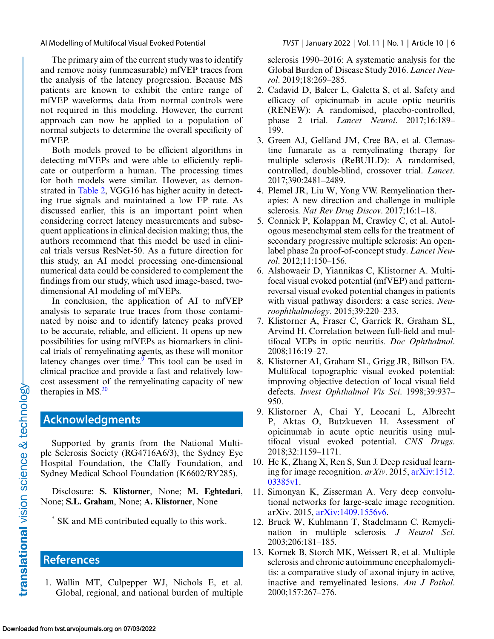The primary aim of the current study was to identify and remove noisy (unmeasurable) mfVEP traces from the analysis of the latency progression. Because MS patients are known to exhibit the entire range of mfVEP waveforms, data from normal controls were not required in this modeling. However, the current approach can now be applied to a population of normal subjects to determine the overall specificity of mfVEP.

Both models proved to be efficient algorithms in detecting mfVEPs and were able to efficiently replicate or outperform a human. The processing times for both models were similar. However, as demonstrated in [Table 2,](#page-4-0) VGG16 has higher acuity in detecting true signals and maintained a low FP rate. As discussed earlier, this is an important point when considering correct latency measurements and subsequent applications in clinical decision making; thus, the authors recommend that this model be used in clinical trials versus ResNet-50. As a future direction for this study, an AI model processing one-dimensional numerical data could be considered to complement the findings from our study, which used image-based, twodimensional AI modeling of mfVEPs.

In conclusion, the application of AI to mfVEP analysis to separate true traces from those contaminated by noise and to identify latency peaks proved to be accurate, reliable, and efficient. It opens up new possibilities for using mfVEPs as biomarkers in clinical trials of remyelinating agents, as these will monitor latency changes over time. $\frac{9}{9}$  This tool can be used in clinical practice and provide a fast and relatively lowcost assessment of the remyelinating capacity of new therapies in  $MS<sup>20</sup>$ 

### **Acknowledgments**

Supported by grants from the National Multiple Sclerosis Society (RG4716A6/3), the Sydney Eye Hospital Foundation, the Claffy Foundation, and Sydney Medical School Foundation (K6602/RY285).

Disclosure: **S. Klistorner**, None; **M. Eghtedari**, None; **S.L. Graham**, None; **A. Klistorner**, None

\* SK and ME contributed equally to this work.

## **References**

1. Wallin MT, Culpepper WJ, Nichols E, et al. Global, regional, and national burden of multiple

<span id="page-5-0"></span>AI Modelling of Multifocal Visual Evoked Potential *TVST* | January 2022 | Vol. 11 | No. 1 | Article 10 | 6

sclerosis 1990–2016: A systematic analysis for the Global Burden of Disease Study 2016. *Lancet Neurol*. 2019;18:269–285.

- 2. Cadavid D, Balcer L, Galetta S, et al. Safety and efficacy of opicinumab in acute optic neuritis (RENEW): A randomised, placebo-controlled, phase 2 trial. *Lancet Neurol*. 2017;16:189– 199.
- 3. Green AJ, Gelfand JM, Cree BA, et al. Clemastine fumarate as a remyelinating therapy for multiple sclerosis (ReBUILD): A randomised, controlled, double-blind, crossover trial. *Lancet*. 2017;390:2481–2489.
- 4. Plemel JR, Liu W, Yong VW. Remyelination therapies: A new direction and challenge in multiple sclerosis. *Nat Rev Drug Discov*. 2017;16:1–18.
- 5. Connick P, Kolappan M, Crawley C, et al. Autologous mesenchymal stem cells for the treatment of secondary progressive multiple sclerosis: An openlabel phase 2a proof-of-concept study. *Lancet Neurol*. 2012;11:150–156.
- 6. Alshowaeir D, Yiannikas C, Klistorner A. Multifocal visual evoked potential (mfVEP) and patternreversal visual evoked potential changes in patients with visual pathway disorders: a case series. *Neuroophthalmology*. 2015;39:220–233.
- 7. Klistorner A, Fraser C, Garrick R, Graham SL, Arvind H. Correlation between full-field and multifocal VEPs in optic neuritis. *Doc Ophthalmol*. 2008;116:19–27.
- 8. Klistorner AI, Graham SL, Grigg JR, Billson FA. Multifocal topographic visual evoked potential: improving objective detection of local visual field defects. *Invest Ophthalmol Vis Sci*. 1998;39:937– 950.
- 9. Klistorner A, Chai Y, Leocani L, Albrecht P, Aktas O, Butzkueven H. Assessment of opicinumab in acute optic neuritis using multifocal visual evoked potential. *CNS Drugs*. 2018;32:1159–1171.
- 10. He K, Zhang X, Ren S, Sun J. Deep residual learn[ing for image recognition.](http://doi.org/arXiv:1512.03385v1) *arXiv*. 2015, arXiv:1512. 03385v1.
- 11. Simonyan K, Zisserman A. Very deep convolutional networks for large-scale image recognition. arXiv. 2015, [arXiv:1409.1556v6.](http://doi.org/arXiv:1409.1556v6)
- 12. Bruck W, Kuhlmann T, Stadelmann C. Remyelination in multiple sclerosis. *J Neurol Sci*. 2003;206:181–185.
- 13. Kornek B, Storch MK, Weissert R, et al. Multiple sclerosis and chronic autoimmune encephalomyelitis: a comparative study of axonal injury in active, inactive and remyelinated lesions. *Am J Pathol*. 2000;157:267–276.